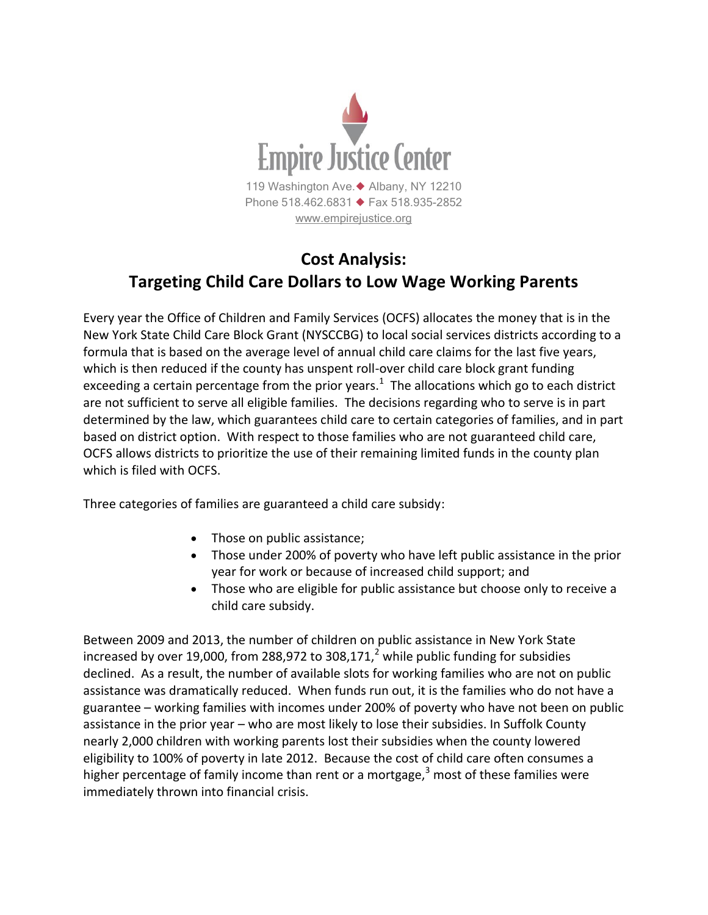

## **Cost Analysis: Targeting Child Care Dollars to Low Wage Working Parents**

Every year the Office of Children and Family Services (OCFS) allocates the money that is in the New York State Child Care Block Grant (NYSCCBG) to local social services districts according to a formula that is based on the average level of annual child care claims for the last five years, which is then reduced if the county has unspent roll-over child care block grant funding exceeding a certain percentage from the prior years.<sup>1</sup> The allocations which go to each district are not sufficient to serve all eligible families. The decisions regarding who to serve is in part determined by the law, which guarantees child care to certain categories of families, and in part based on district option. With respect to those families who are not guaranteed child care, OCFS allows districts to prioritize the use of their remaining limited funds in the county plan which is filed with OCFS.

Three categories of families are guaranteed a child care subsidy:

- Those on public assistance;
- Those under 200% of poverty who have left public assistance in the prior year for work or because of increased child support; and
- Those who are eligible for public assistance but choose only to receive a child care subsidy.

Between 2009 and 2013, the number of children on public assistance in New York State increased by over 19,000, from 288,972 to 308,171, $^2$  while public funding for subsidies declined. As a result, the number of available slots for working families who are not on public assistance was dramatically reduced. When funds run out, it is the families who do not have a guarantee – working families with incomes under 200% of poverty who have not been on public assistance in the prior year – who are most likely to lose their subsidies. In Suffolk County nearly 2,000 children with working parents lost their subsidies when the county lowered eligibility to 100% of poverty in late 2012. Because the cost of child care often consumes a higher percentage of family income than rent or a mortgage, $3$  most of these families were immediately thrown into financial crisis.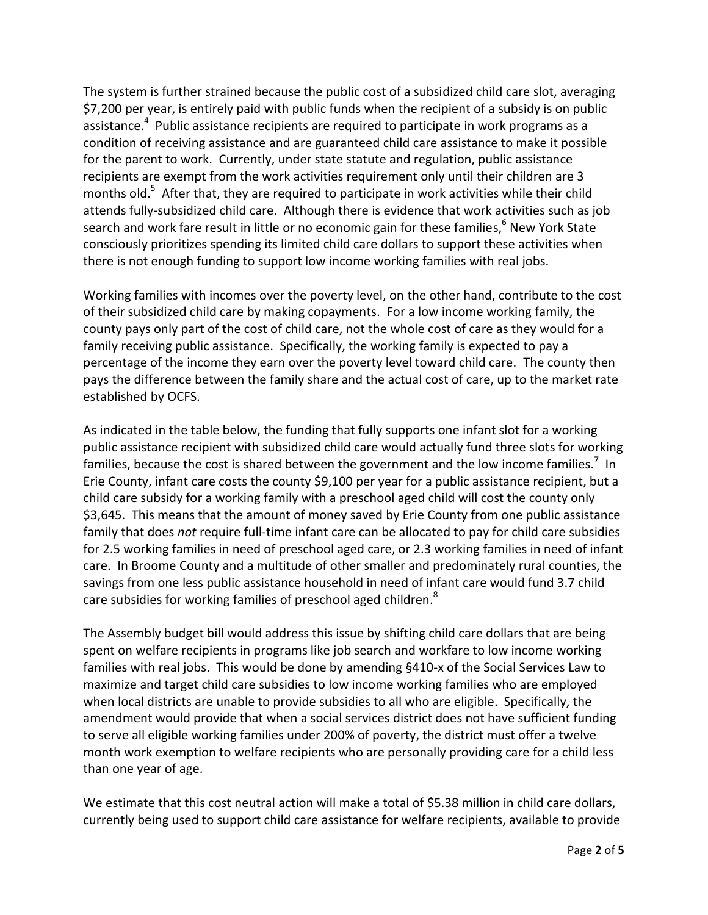The system is further strained because the public cost of a subsidized child care slot, averaging \$7,200 per year, is entirely paid with public funds when the recipient of a subsidy is on public assistance.<sup>4</sup> Public assistance recipients are required to participate in work programs as a condition of receiving assistance and are guaranteed child care assistance to make it possible for the parent to work. Currently, under state statute and regulation, public assistance recipients are exempt from the work activities requirement only until their children are 3 months old.<sup>5</sup> After that, they are required to participate in work activities while their child attends fully-subsidized child care. Although there is evidence that work activities such as job search and work fare result in little or no economic gain for these families,<sup>6</sup> New York State consciously prioritizes spending its limited child care dollars to support these activities when there is not enough funding to support low income working families with real jobs.

Working families with incomes over the poverty level, on the other hand, contribute to the cost of their subsidized child care by making copayments. For a low income working family, the county pays only part of the cost of child care, not the whole cost of care as they would for a family receiving public assistance. Specifically, the working family is expected to pay a percentage of the income they earn over the poverty level toward child care. The county then pays the difference between the family share and the actual cost of care, up to the market rate established by OCFS.

As indicated in the table below, the funding that fully supports one infant slot for a working public assistance recipient with subsidized child care would actually fund three slots for working families, because the cost is shared between the government and the low income families.<sup>7</sup> In Erie County, infant care costs the county \$9,100 per year for a public assistance recipient, but a child care subsidy for a working family with a preschool aged child will cost the county only \$3,645. This means that the amount of money saved by Erie County from one public assistance family that does *not* require full-time infant care can be allocated to pay for child care subsidies for 2.5 working families in need of preschool aged care, or 2.3 working families in need of infant care. In Broome County and a multitude of other smaller and predominately rural counties, the savings from one less public assistance household in need of infant care would fund 3.7 child care subsidies for working families of preschool aged children.<sup>8</sup>

The Assembly budget bill would address this issue by shifting child care dollars that are being spent on welfare recipients in programs like job search and workfare to low income working families with real jobs. This would be done by amending §410-x of the Social Services Law to maximize and target child care subsidies to low income working families who are employed when local districts are unable to provide subsidies to all who are eligible. Specifically, the amendment would provide that when a social services district does not have sufficient funding to serve all eligible working families under 200% of poverty, the district must offer a twelve month work exemption to welfare recipients who are personally providing care for a child less than one year of age.

We estimate that this cost neutral action will make a total of \$5.38 million in child care dollars, currently being used to support child care assistance for welfare recipients, available to provide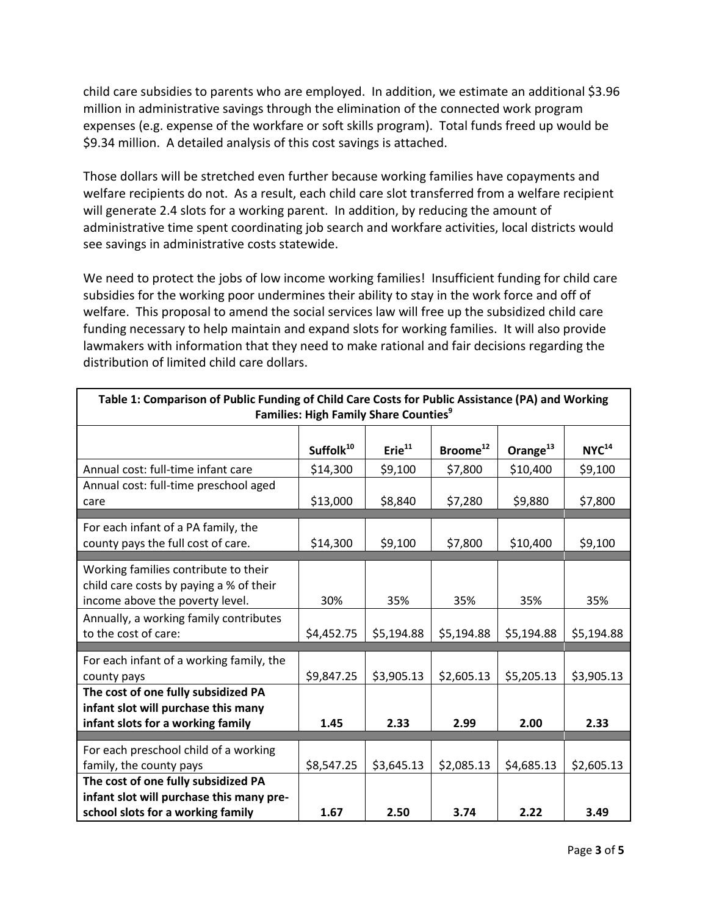child care subsidies to parents who are employed. In addition, we estimate an additional \$3.96 million in administrative savings through the elimination of the connected work program expenses (e.g. expense of the workfare or soft skills program). Total funds freed up would be \$9.34 million. A detailed analysis of this cost savings is attached.

Those dollars will be stretched even further because working families have copayments and welfare recipients do not. As a result, each child care slot transferred from a welfare recipient will generate 2.4 slots for a working parent. In addition, by reducing the amount of administrative time spent coordinating job search and workfare activities, local districts would see savings in administrative costs statewide.

We need to protect the jobs of low income working families! Insufficient funding for child care subsidies for the working poor undermines their ability to stay in the work force and off of welfare. This proposal to amend the social services law will free up the subsidized child care funding necessary to help maintain and expand slots for working families. It will also provide lawmakers with information that they need to make rational and fair decisions regarding the distribution of limited child care dollars.

| Table 1: Comparison of Public Funding of Child Care Costs for Public Assistance (PA) and Working<br><b>Families: High Family Share Counties</b> <sup>9</sup> |                       |                    |                      |                      |                   |
|--------------------------------------------------------------------------------------------------------------------------------------------------------------|-----------------------|--------------------|----------------------|----------------------|-------------------|
|                                                                                                                                                              |                       |                    |                      |                      |                   |
|                                                                                                                                                              | Suffolk <sup>10</sup> | Erie <sup>11</sup> | Broome <sup>12</sup> | Orange <sup>13</sup> | NYC <sup>14</sup> |
| Annual cost: full-time infant care                                                                                                                           | \$14,300              | \$9,100            | \$7,800              | \$10,400             | \$9,100           |
| Annual cost: full-time preschool aged                                                                                                                        |                       |                    |                      |                      |                   |
| care                                                                                                                                                         | \$13,000              | \$8,840            | \$7,280              | \$9,880              | \$7,800           |
| For each infant of a PA family, the                                                                                                                          |                       |                    |                      |                      |                   |
| county pays the full cost of care.                                                                                                                           | \$14,300              | \$9,100            | \$7,800              | \$10,400             | \$9,100           |
|                                                                                                                                                              |                       |                    |                      |                      |                   |
| Working families contribute to their                                                                                                                         |                       |                    |                      |                      |                   |
| child care costs by paying a % of their                                                                                                                      |                       |                    |                      |                      |                   |
| income above the poverty level.                                                                                                                              | 30%                   | 35%                | 35%                  | 35%                  | 35%               |
| Annually, a working family contributes                                                                                                                       |                       |                    |                      |                      |                   |
| to the cost of care:                                                                                                                                         | \$4,452.75            | \$5,194.88         | \$5,194.88           | \$5,194.88           | \$5,194.88        |
|                                                                                                                                                              |                       |                    |                      |                      |                   |
| For each infant of a working family, the                                                                                                                     |                       |                    |                      |                      |                   |
| county pays                                                                                                                                                  | \$9,847.25            | \$3,905.13         | \$2,605.13           | \$5,205.13           | \$3,905.13        |
| The cost of one fully subsidized PA                                                                                                                          |                       |                    |                      |                      |                   |
| infant slot will purchase this many                                                                                                                          |                       |                    |                      |                      |                   |
| infant slots for a working family                                                                                                                            | 1.45                  | 2.33               | 2.99                 | 2.00                 | 2.33              |
|                                                                                                                                                              |                       |                    |                      |                      |                   |
| For each preschool child of a working                                                                                                                        |                       |                    |                      |                      |                   |
| family, the county pays                                                                                                                                      | \$8,547.25            | \$3,645.13         | \$2,085.13           | \$4,685.13           | \$2,605.13        |
| The cost of one fully subsidized PA                                                                                                                          |                       |                    |                      |                      |                   |
| infant slot will purchase this many pre-                                                                                                                     |                       |                    |                      |                      |                   |
| school slots for a working family                                                                                                                            | 1.67                  | 2.50               | 3.74                 | 2.22                 | 3.49              |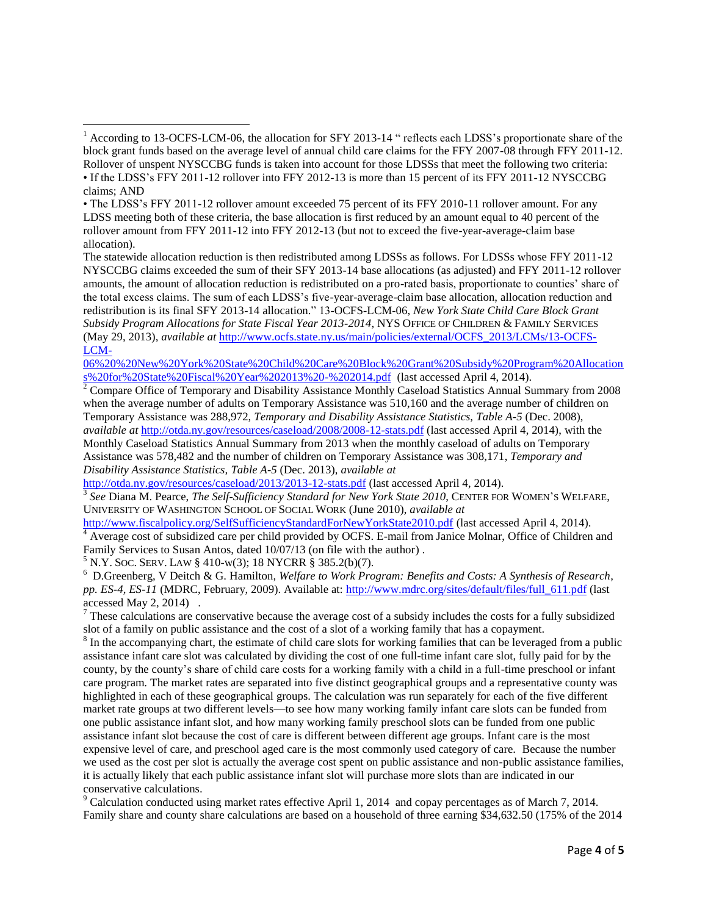<sup>2</sup> Compare Office of Temporary and Disability Assistance Monthly Caseload Statistics Annual Summary from 2008 when the average number of adults on Temporary Assistance was  $510,160$  and the average number of children on Temporary Assistance was 288,972, *Temporary and Disability Assistance Statistics, Table A-5* (Dec. 2008), *available at* <http://otda.ny.gov/resources/caseload/2008/2008-12-stats.pdf> (last accessed April 4, 2014), with the Monthly Caseload Statistics Annual Summary from 2013 when the monthly caseload of adults on Temporary Assistance was 578,482 and the number of children on Temporary Assistance was 308,171, *Temporary and Disability Assistance Statistics, Table A-5* (Dec. 2013), *available at*

<http://otda.ny.gov/resources/caseload/2013/2013-12-stats.pdf> (last accessed April 4, 2014). 3 *See* Diana M. Pearce, *The Self-Sufficiency Standard for New York State 2010*, CENTER FOR WOMEN'S WELFARE, UNIVERSITY OF WASHINGTON SCHOOL OF SOCIAL WORK (June 2010), *available at*

<http://www.fiscalpolicy.org/SelfSufficiencyStandardForNewYorkState2010.pdf> (last accessed April 4, 2014). <sup>4</sup> Average cost of subsidized care per child provided by OCFS. E-mail from Janice Molnar, Office of Children and Family Services to Susan Antos, dated 10/07/13 (on file with the author) .

 $5$  N.Y. Soc. SERV. LAW § 410-w(3); 18 NYCRR § 385.2(b)(7).

<sup>6</sup> D.Greenberg, V Deitch & G. Hamilton, *Welfare to Work Program: Benefits and Costs: A Synthesis of Research, pp. ES-4, ES-11* (MDRC, February, 2009). Available at: [http://www.mdrc.org/sites/default/files/full\\_611.pdf](http://www.mdrc.org/sites/default/files/full_611.pdf) (last accessed May 2, 2014) .

 $7$  These calculations are conservative because the average cost of a subsidy includes the costs for a fully subsidized slot of a family on public assistance and the cost of a slot of a working family that has a copayment.

 $8 \text{ In the accompanying chart, the estimate of child care slots for working families that can be leveraged from a public$ assistance infant care slot was calculated by dividing the cost of one full-time infant care slot, fully paid for by the county, by the county's share of child care costs for a working family with a child in a full-time preschool or infant care program. The market rates are separated into five distinct geographical groups and a representative county was highlighted in each of these geographical groups. The calculation was run separately for each of the five different market rate groups at two different levels—to see how many working family infant care slots can be funded from one public assistance infant slot, and how many working family preschool slots can be funded from one public assistance infant slot because the cost of care is different between different age groups. Infant care is the most expensive level of care, and preschool aged care is the most commonly used category of care. Because the number we used as the cost per slot is actually the average cost spent on public assistance and non-public assistance families, it is actually likely that each public assistance infant slot will purchase more slots than are indicated in our conservative calculations.

 $9$  Calculation conducted using market rates effective April 1, 2014 and copay percentages as of March 7, 2014. Family share and county share calculations are based on a household of three earning \$34,632.50 (175% of the 2014

 $\overline{\phantom{a}}$ <sup>1</sup> According to 13-OCFS-LCM-06, the allocation for SFY 2013-14 " reflects each LDSS's proportionate share of the block grant funds based on the average level of annual child care claims for the FFY 2007-08 through FFY 2011-12. Rollover of unspent NYSCCBG funds is taken into account for those LDSSs that meet the following two criteria: • If the LDSS's FFY 2011-12 rollover into FFY 2012-13 is more than 15 percent of its FFY 2011-12 NYSCCBG claims; AND

<sup>•</sup> The LDSS's FFY 2011-12 rollover amount exceeded 75 percent of its FFY 2010-11 rollover amount. For any LDSS meeting both of these criteria, the base allocation is first reduced by an amount equal to 40 percent of the rollover amount from FFY 2011-12 into FFY 2012-13 (but not to exceed the five-year-average-claim base allocation).

The statewide allocation reduction is then redistributed among LDSSs as follows. For LDSSs whose FFY 2011-12 NYSCCBG claims exceeded the sum of their SFY 2013-14 base allocations (as adjusted) and FFY 2011-12 rollover amounts, the amount of allocation reduction is redistributed on a pro-rated basis, proportionate to counties' share of the total excess claims. The sum of each LDSS's five-year-average-claim base allocation, allocation reduction and redistribution is its final SFY 2013-14 allocation." 13-OCFS-LCM-06, *New York State Child Care Block Grant Subsidy Program Allocations for State Fiscal Year 2013-2014*, NYS OFFICE OF CHILDREN & FAMILY SERVICES (May 29, 2013), *available at* [http://www.ocfs.state.ny.us/main/policies/external/OCFS\\_2013/LCMs/13-OCFS-](http://www.ocfs.state.ny.us/main/policies/external/OCFS_2013/LCMs/13-OCFS-LCM-06%20%20New%20York%20State%20Child%20Care%20Block%20Grant%20Subsidy%20Program%20Allocations%20for%20State%20Fiscal%20Year%202013%20-%202014.pdf)[LCM-](http://www.ocfs.state.ny.us/main/policies/external/OCFS_2013/LCMs/13-OCFS-LCM-06%20%20New%20York%20State%20Child%20Care%20Block%20Grant%20Subsidy%20Program%20Allocations%20for%20State%20Fiscal%20Year%202013%20-%202014.pdf)

[<sup>06%20%20</sup>New%20York%20State%20Child%20Care%20Block%20Grant%20Subsidy%20Program%20Allocation](http://www.ocfs.state.ny.us/main/policies/external/OCFS_2013/LCMs/13-OCFS-LCM-06%20%20New%20York%20State%20Child%20Care%20Block%20Grant%20Subsidy%20Program%20Allocations%20for%20State%20Fiscal%20Year%202013%20-%202014.pdf) [s%20for%20State%20Fiscal%20Year%202013%20-%202014.pdf](http://www.ocfs.state.ny.us/main/policies/external/OCFS_2013/LCMs/13-OCFS-LCM-06%20%20New%20York%20State%20Child%20Care%20Block%20Grant%20Subsidy%20Program%20Allocations%20for%20State%20Fiscal%20Year%202013%20-%202014.pdf) (last accessed April 4, 2014).